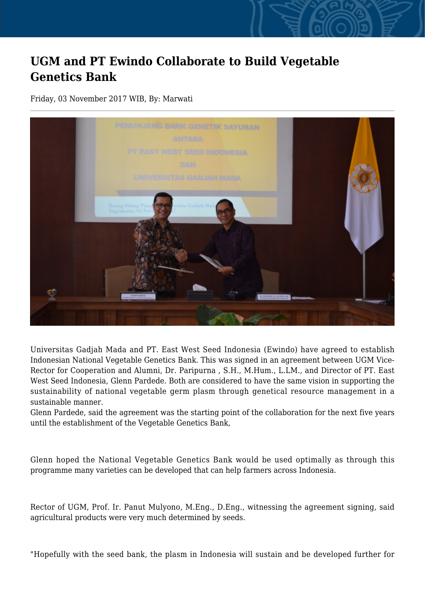## **UGM and PT Ewindo Collaborate to Build Vegetable Genetics Bank**

Friday, 03 November 2017 WIB, By: Marwati



Universitas Gadjah Mada and PT. East West Seed Indonesia (Ewindo) have agreed to establish Indonesian National Vegetable Genetics Bank. This was signed in an agreement between UGM Vice-Rector for Cooperation and Alumni, Dr. Paripurna , S.H., M.Hum., L.LM., and Director of PT. East West Seed Indonesia, Glenn Pardede. Both are considered to have the same vision in supporting the sustainability of national vegetable germ plasm through genetical resource management in a sustainable manner.

Glenn Pardede, said the agreement was the starting point of the collaboration for the next five years until the establishment of the Vegetable Genetics Bank,

Glenn hoped the National Vegetable Genetics Bank would be used optimally as through this programme many varieties can be developed that can help farmers across Indonesia.

Rector of UGM, Prof. Ir. Panut Mulyono, M.Eng., D.Eng., witnessing the agreement signing, said agricultural products were very much determined by seeds.

"Hopefully with the seed bank, the plasm in Indonesia will sustain and be developed further for